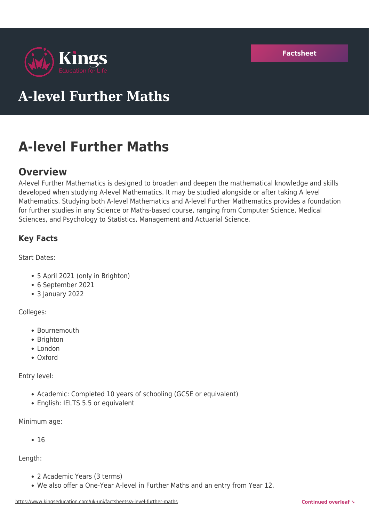

# **A-level Further Maths**

# **A-level Further Maths**

# **Overview**

A-level Further Mathematics is designed to broaden and deepen the mathematical knowledge and skills developed when studying A-level Mathematics. It may be studied alongside or after taking A level Mathematics. Studying both A-level Mathematics and A-level Further Mathematics provides a foundation for further studies in any Science or Maths-based course, ranging from Computer Science, Medical Sciences, and Psychology to Statistics, Management and Actuarial Science.

# **Key Facts**

Start Dates:

- 5 April 2021 (only in Brighton)
- 6 September 2021
- 3 January 2022

Colleges:

- Bournemouth
- Brighton
- London
- Oxford

Entry level:

- Academic: Completed 10 years of schooling (GCSE or equivalent)
- English: IELTS 5.5 or equivalent

Minimum age:

 $• 16$ 

Length:

- 2 Academic Years (3 terms)
- We also offer a One-Year A-level in Further Maths and an entry from Year 12.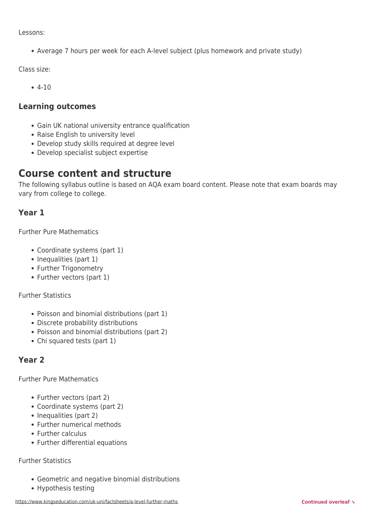Lessons:

Average 7 hours per week for each A-level subject (plus homework and private study)

Class size:

4-10

#### **Learning outcomes**

- Gain UK national university entrance qualification
- Raise English to university level
- Develop study skills required at degree level
- Develop specialist subject expertise

# **Course content and structure**

The following syllabus outline is based on AQA exam board content. Please note that exam boards may vary from college to college.

## **Year 1**

Further Pure Mathematics

- Coordinate systems (part 1)
- Inequalities (part 1)
- Further Trigonometry
- Further vectors (part 1)

Further Statistics

- Poisson and binomial distributions (part 1)
- Discrete probability distributions
- Poisson and binomial distributions (part 2)
- Chi squared tests (part 1)

# **Year 2**

Further Pure Mathematics

- Further vectors (part 2)
- Coordinate systems (part 2)
- Inequalities (part 2)
- Further numerical methods
- Further calculus
- Further differential equations

#### Further Statistics

- Geometric and negative binomial distributions
- Hypothesis testing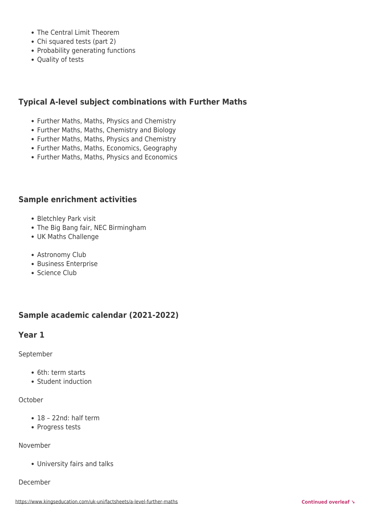- The Central Limit Theorem
- Chi squared tests (part 2)
- Probability generating functions
- Quality of tests

# **Typical A-level subject combinations with Further Maths**

- Further Maths, Maths, Physics and Chemistry
- Further Maths, Maths, Chemistry and Biology
- Further Maths, Maths, Physics and Chemistry
- Further Maths, Maths, Economics, Geography
- Further Maths, Maths, Physics and Economics

### **Sample enrichment activities**

- Bletchley Park visit
- The Big Bang fair, NEC Birmingham
- UK Maths Challenge
- Astronomy Club
- Business Enterprise
- Science Club

# **Sample academic calendar (2021-2022)**

### **Year 1**

September

- 6th: term starts
- Student induction

#### **October**

- 18 22nd: half term
- Progress tests

#### November

University fairs and talks

#### December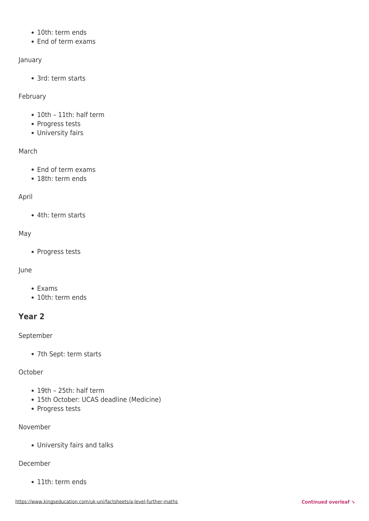- 10th: term ends
- End of term exams

#### January

• 3rd: term starts

#### February

- 10th 11th: half term
- Progress tests
- University fairs

#### March

- End of term exams
- 18th: term ends

#### April

4th: term starts

#### May

• Progress tests

#### June

- Exams
- 10th: term ends

# **Year 2**

#### September

7th Sept: term starts

#### October

- 19th 25th: half term
- 15th October: UCAS deadline (Medicine)
- Progress tests

#### November

University fairs and talks

#### December

• 11th: term ends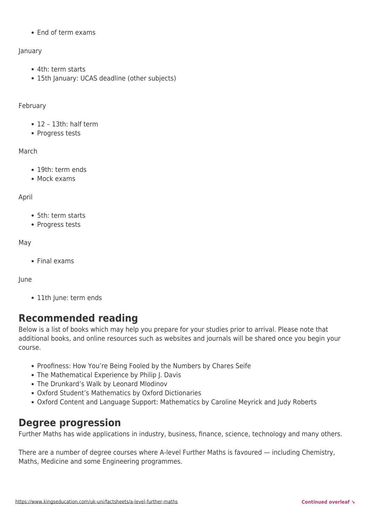End of term exams

#### January

- 4th: term starts
- 15th January: UCAS deadline (other subjects)

#### February

- 12 13th: half term
- Progress tests

#### March

- 19th: term ends
- Mock exams

#### April

- 5th: term starts
- Progress tests

#### May

Final exams

#### June

• 11th June: term ends

# **Recommended reading**

Below is a list of books which may help you prepare for your studies prior to arrival. Please note that additional books, and online resources such as websites and journals will be shared once you begin your course.

- Proofiness: How You're Being Fooled by the Numbers by Chares Seife
- The Mathematical Experience by Philip J. Davis
- The Drunkard's Walk by Leonard Mlodinov
- Oxford Student's Mathematics by Oxford Dictionaries
- Oxford Content and Language Support: Mathematics by Caroline Meyrick and Judy Roberts

# **Degree progression**

Further Maths has wide applications in industry, business, finance, science, technology and many others.

There are a number of degree courses where A-level Further Maths is favoured — including Chemistry, Maths, Medicine and some Engineering programmes.